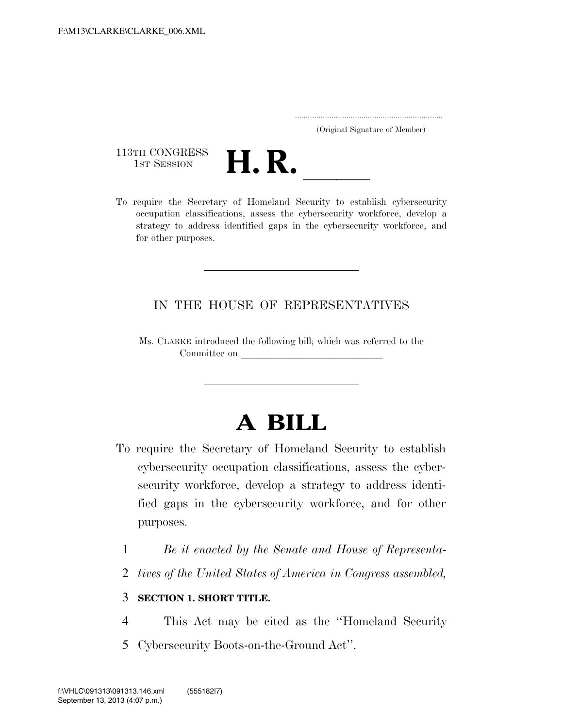..................................................................... (Original Signature of Member)

113TH CONGRESS<br>1st Session



113TH CONGRESS<br>1st SESSION **H. R.** <u>International Security to establish eybersecurity</u><br>To require the Secretary of Homeland Security to establish eybersecurity occupation classifications, assess the cybersecurity workforce, develop a strategy to address identified gaps in the cybersecurity workforce, and for other purposes.

### IN THE HOUSE OF REPRESENTATIVES

Ms. CLARKE introduced the following bill; which was referred to the Committee on leading on  $\mathcal{L}$ 

## **A BILL**

- To require the Secretary of Homeland Security to establish cybersecurity occupation classifications, assess the cybersecurity workforce, develop a strategy to address identified gaps in the cybersecurity workforce, and for other purposes.
	- 1 *Be it enacted by the Senate and House of Representa-*
	- 2 *tives of the United States of America in Congress assembled,*

#### 3 **SECTION 1. SHORT TITLE.**

- 4 This Act may be cited as the ''Homeland Security
- 5 Cybersecurity Boots-on-the-Ground Act''.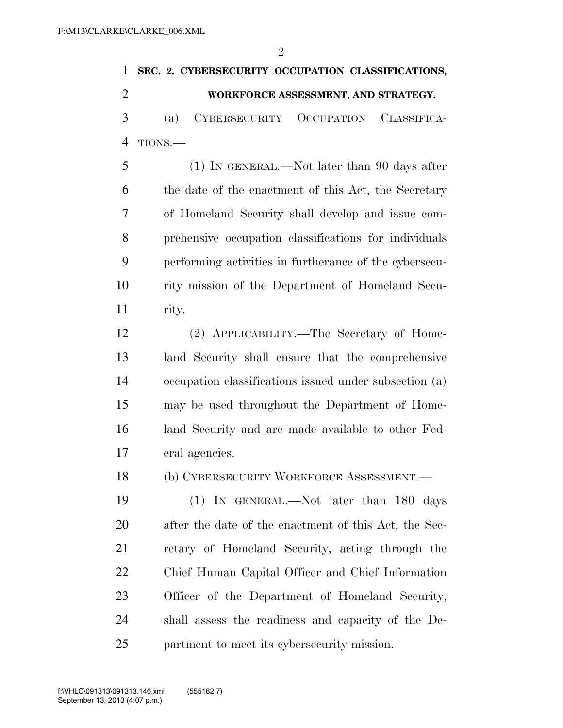$\mathfrak{D}$ 

# **SEC. 2. CYBERSECURITY OCCUPATION CLASSIFICATIONS, WORKFORCE ASSESSMENT, AND STRATEGY.**  (a) CYBERSECURITY OCCUPATION CLASSIFICA- TIONS.— (1) IN GENERAL.—Not later than 90 days after the date of the enactment of this Act, the Secretary

 of Homeland Security shall develop and issue com- prehensive occupation classifications for individuals performing activities in furtherance of the cybersecu- rity mission of the Department of Homeland Secu-rity.

 (2) APPLICABILITY.—The Secretary of Home- land Security shall ensure that the comprehensive occupation classifications issued under subsection (a) may be used throughout the Department of Home- land Security and are made available to other Fed-eral agencies.

(b) CYBERSECURITY WORKFORCE ASSESSMENT.—

 (1) IN GENERAL.—Not later than 180 days after the date of the enactment of this Act, the Sec- retary of Homeland Security, acting through the Chief Human Capital Officer and Chief Information Officer of the Department of Homeland Security, shall assess the readiness and capacity of the De-partment to meet its cybersecurity mission.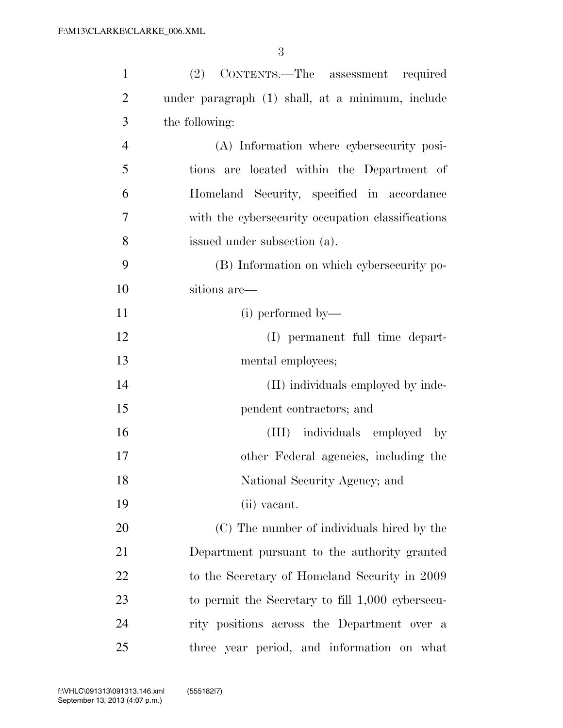| $\mathbf{1}$   | (2) CONTENTS.—The assessment<br>required          |
|----------------|---------------------------------------------------|
| $\overline{2}$ | under paragraph (1) shall, at a minimum, include  |
| 3              | the following:                                    |
| $\overline{4}$ | (A) Information where cybersecurity posi-         |
| 5              | tions are located within the Department of        |
| 6              | Homeland Security, specified in accordance        |
| 7              | with the cybersecurity occupation classifications |
| 8              | issued under subsection (a).                      |
| 9              | (B) Information on which cybersecurity po-        |
| 10             | sitions are—                                      |
| 11             | (i) performed by—                                 |
| 12             | (I) permanent full time depart-                   |
| 13             | mental employees;                                 |
| 14             | (II) individuals employed by inde-                |
| 15             | pendent contractors; and                          |
| 16             | (III) individuals employed<br>$-$ by              |
| 17             | other Federal agencies, including the             |
| 18             | National Security Agency; and                     |
| 19             | (ii) vacant.                                      |
| 20             | (C) The number of individuals hired by the        |
| 21             | Department pursuant to the authority granted      |
| 22             | to the Secretary of Homeland Security in 2009     |
| 23             | to permit the Secretary to fill 1,000 cybersecu-  |
| 24             | rity positions across the Department over a       |
| 25             | three year period, and information on what        |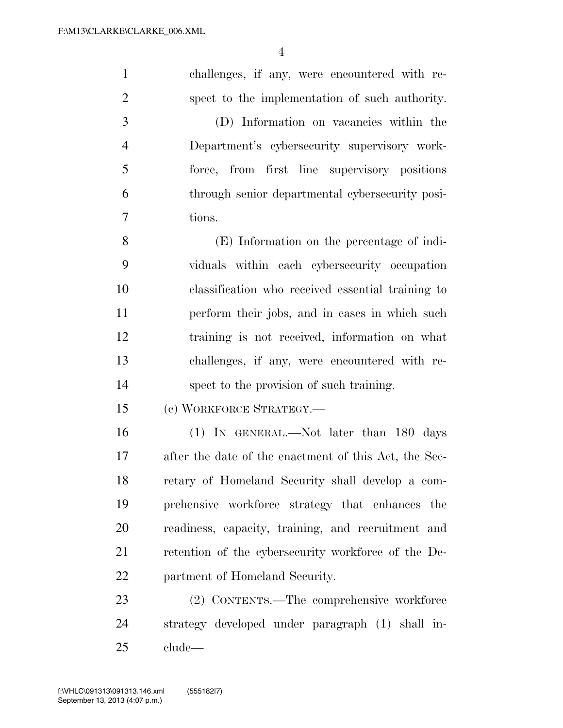challenges, if any, were encountered with re- spect to the implementation of such authority. (D) Information on vacancies within the Department's cybersecurity supervisory work- force, from first line supervisory positions through senior departmental cybersecurity posi- tions. (E) Information on the percentage of indi- viduals within each cybersecurity occupation classification who received essential training to perform their jobs, and in cases in which such training is not received, information on what challenges, if any, were encountered with re- spect to the provision of such training. (c) WORKFORCE STRATEGY.— (1) IN GENERAL.—Not later than 180 days after the date of the enactment of this Act, the Sec- retary of Homeland Security shall develop a com- prehensive workforce strategy that enhances the readiness, capacity, training, and recruitment and 21 retention of the cybersecurity workforce of the De- partment of Homeland Security. (2) CONTENTS.—The comprehensive workforce strategy developed under paragraph (1) shall in-clude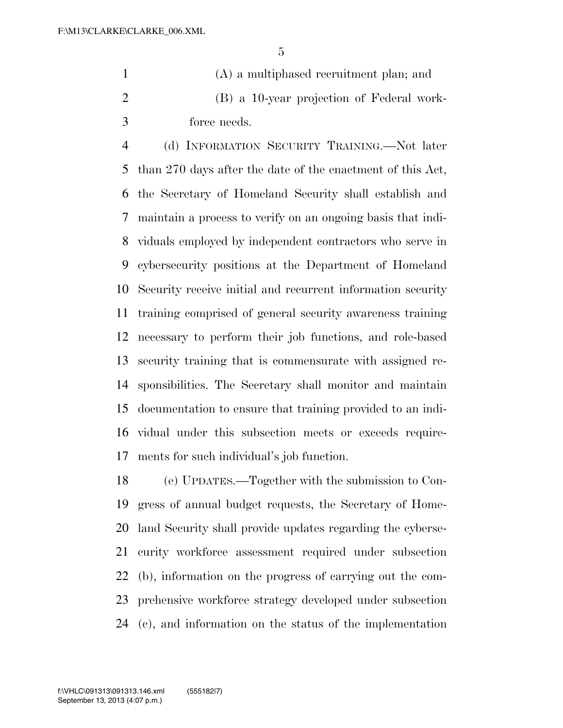(A) a multiphased recruitment plan; and (B) a 10-year projection of Federal work-force needs.

 (d) INFORMATION SECURITY TRAINING.—Not later than 270 days after the date of the enactment of this Act, the Secretary of Homeland Security shall establish and maintain a process to verify on an ongoing basis that indi- viduals employed by independent contractors who serve in cybersecurity positions at the Department of Homeland Security receive initial and recurrent information security training comprised of general security awareness training necessary to perform their job functions, and role-based security training that is commensurate with assigned re- sponsibilities. The Secretary shall monitor and maintain documentation to ensure that training provided to an indi- vidual under this subsection meets or exceeds require-ments for such individual's job function.

 (e) UPDATES.—Together with the submission to Con- gress of annual budget requests, the Secretary of Home- land Security shall provide updates regarding the cyberse- curity workforce assessment required under subsection (b), information on the progress of carrying out the com- prehensive workforce strategy developed under subsection (c), and information on the status of the implementation